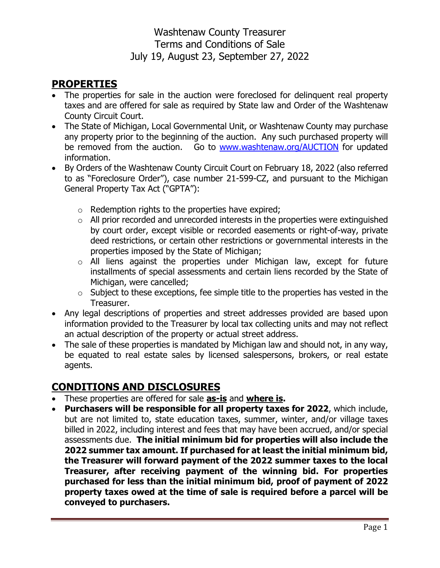### **PROPERTIES**

- The properties for sale in the auction were foreclosed for delinguent real property taxes and are offered for sale as required by State law and Order of the Washtenaw County Circuit Court.
- The State of Michigan, Local Governmental Unit, or Washtenaw County may purchase any property prior to the beginning of the auction. Any such purchased property will be removed from the auction. Go to [www.washtenaw.org/AUCTION](http://www.washtenaw.org/AUCTION) for updated information.
- By Orders of the Washtenaw County Circuit Court on February 18, 2022 (also referred to as "Foreclosure Order"), case number 21-599-CZ, and pursuant to the Michigan General Property Tax Act ("GPTA"):
	- $\circ$  Redemption rights to the properties have expired;
	- $\circ$  All prior recorded and unrecorded interests in the properties were extinguished by court order, except visible or recorded easements or right-of-way, private deed restrictions, or certain other restrictions or governmental interests in the properties imposed by the State of Michigan;
	- o All liens against the properties under Michigan law, except for future installments of special assessments and certain liens recorded by the State of Michigan, were cancelled;
	- $\circ$  Subject to these exceptions, fee simple title to the properties has vested in the Treasurer.
- Any legal descriptions of properties and street addresses provided are based upon information provided to the Treasurer by local tax collecting units and may not reflect an actual description of the property or actual street address.
- The sale of these properties is mandated by Michigan law and should not, in any way, be equated to real estate sales by licensed salespersons, brokers, or real estate agents.

## **CONDITIONS AND DISCLOSURES**

- These properties are offered for sale **as-is** and **where is.**
- **Purchasers will be responsible for all property taxes for 2022**, which include, but are not limited to, state education taxes, summer, winter, and/or village taxes billed in 2022, including interest and fees that may have been accrued, and/or special assessments due. **The initial minimum bid for properties will also include the 2022 summer tax amount. If purchased for at least the initial minimum bid, the Treasurer will forward payment of the 2022 summer taxes to the local Treasurer, after receiving payment of the winning bid. For properties purchased for less than the initial minimum bid, proof of payment of 2022 property taxes owed at the time of sale is required before a parcel will be conveyed to purchasers.**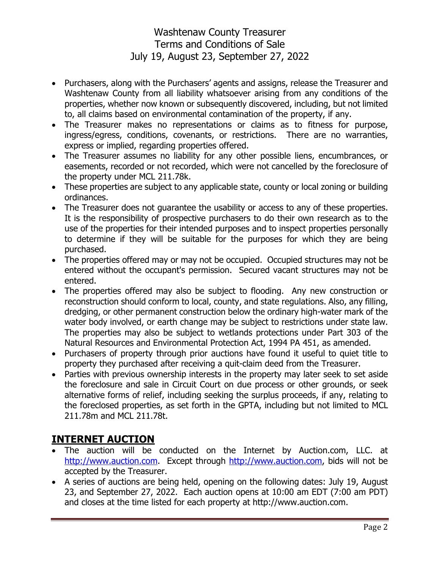- Purchasers, along with the Purchasers' agents and assigns, release the Treasurer and Washtenaw County from all liability whatsoever arising from any conditions of the properties, whether now known or subsequently discovered, including, but not limited to, all claims based on environmental contamination of the property, if any.
- The Treasurer makes no representations or claims as to fitness for purpose, ingress/egress, conditions, covenants, or restrictions. There are no warranties, express or implied, regarding properties offered.
- The Treasurer assumes no liability for any other possible liens, encumbrances, or easements, recorded or not recorded, which were not cancelled by the foreclosure of the property under MCL 211.78k.
- These properties are subject to any applicable state, county or local zoning or building ordinances.
- The Treasurer does not quarantee the usability or access to any of these properties. It is the responsibility of prospective purchasers to do their own research as to the use of the properties for their intended purposes and to inspect properties personally to determine if they will be suitable for the purposes for which they are being purchased.
- The properties offered may or may not be occupied. Occupied structures may not be entered without the occupant's permission. Secured vacant structures may not be entered.
- The properties offered may also be subject to flooding. Any new construction or reconstruction should conform to local, county, and state regulations. Also, any filling, dredging, or other permanent construction below the ordinary high-water mark of the water body involved, or earth change may be subject to restrictions under state law. The properties may also be subject to wetlands protections under Part 303 of the Natural Resources and Environmental Protection Act, 1994 PA 451, as amended.
- Purchasers of property through prior auctions have found it useful to quiet title to property they purchased after receiving a quit-claim deed from the Treasurer.
- Parties with previous ownership interests in the property may later seek to set aside the foreclosure and sale in Circuit Court on due process or other grounds, or seek alternative forms of relief, including seeking the surplus proceeds, if any, relating to the foreclosed properties, as set forth in the GPTA, including but not limited to MCL 211.78m and MCL 211.78t.

#### **INTERNET AUCTION**

- The auction will be conducted on the Internet by Auction.com, LLC. at [http://www.auction.com.](http://www.auction.com/washtenaw) Except through [http://www.auction.com,](http://www.auction.com/washtenaw) bids will not be accepted by the Treasurer.
- A series of auctions are being held, opening on the following dates: July 19, August 23, and September 27, 2022. Each auction opens at 10:00 am EDT (7:00 am PDT) and closes at the time listed for each property at http://www.auction.com.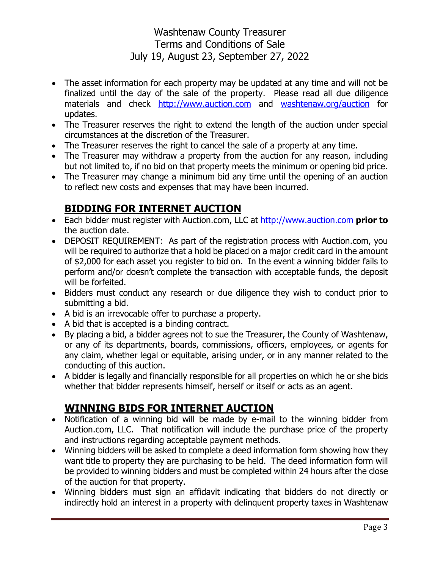- The asset information for each property may be updated at any time and will not be finalized until the day of the sale of the property. Please read all due diligence materials and check [http://www.auction.com](http://www.auction.com/) and washtenaw.org/auction for updates.
- The Treasurer reserves the right to extend the length of the auction under special circumstances at the discretion of the Treasurer.
- The Treasurer reserves the right to cancel the sale of a property at any time.
- The Treasurer may withdraw a property from the auction for any reason, including but not limited to, if no bid on that property meets the minimum or opening bid price.
- The Treasurer may change a minimum bid any time until the opening of an auction to reflect new costs and expenses that may have been incurred.

# **BIDDING FOR INTERNET AUCTION**

- Each bidder must register with Auction.com, LLC at [http://www.auction.com](http://www.auction.com/) **prior to** the auction date.
- DEPOSIT REQUIREMENT: As part of the registration process with Auction.com, you will be required to authorize that a hold be placed on a major credit card in the amount of \$2,000 for each asset you register to bid on. In the event a winning bidder fails to perform and/or doesn't complete the transaction with acceptable funds, the deposit will be forfeited.
- Bidders must conduct any research or due diligence they wish to conduct prior to submitting a bid.
- A bid is an irrevocable offer to purchase a property.
- A bid that is accepted is a binding contract.
- By placing a bid, a bidder agrees not to sue the Treasurer, the County of Washtenaw, or any of its departments, boards, commissions, officers, employees, or agents for any claim, whether legal or equitable, arising under, or in any manner related to the conducting of this auction.
- A bidder is legally and financially responsible for all properties on which he or she bids whether that bidder represents himself, herself or itself or acts as an agent.

#### **WINNING BIDS FOR INTERNET AUCTION**

- Notification of a winning bid will be made by e-mail to the winning bidder from Auction.com, LLC. That notification will include the purchase price of the property and instructions regarding acceptable payment methods.
- Winning bidders will be asked to complete a deed information form showing how they want title to property they are purchasing to be held. The deed information form will be provided to winning bidders and must be completed within 24 hours after the close of the auction for that property.
- Winning bidders must sign an affidavit indicating that bidders do not directly or indirectly hold an interest in a property with delinquent property taxes in Washtenaw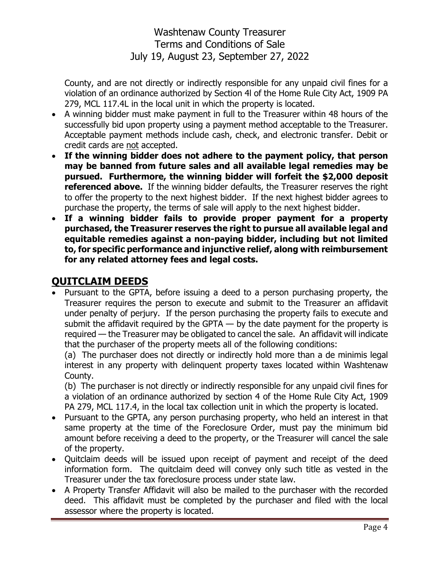County, and are not directly or indirectly responsible for any unpaid civil fines for a violation of an ordinance authorized by Section 4l of the Home Rule City Act, 1909 PA 279, MCL 117.4L in the local unit in which the property is located.

- A winning bidder must make payment in full to the Treasurer within 48 hours of the successfully bid upon property using a payment method acceptable to the Treasurer. Acceptable payment methods include cash, check, and electronic transfer. Debit or credit cards are not accepted.
- **If the winning bidder does not adhere to the payment policy, that person may be banned from future sales and all available legal remedies may be pursued. Furthermore, the winning bidder will forfeit the \$2,000 deposit referenced above.** If the winning bidder defaults, the Treasurer reserves the right to offer the property to the next highest bidder. If the next highest bidder agrees to purchase the property, the terms of sale will apply to the next highest bidder.
- **If a winning bidder fails to provide proper payment for a property purchased, the Treasurer reserves the right to pursue all available legal and equitable remedies against a non-paying bidder, including but not limited to, for specific performance and injunctive relief, along with reimbursement for any related attorney fees and legal costs.**

## **QUITCLAIM DEEDS**

 Pursuant to the GPTA, before issuing a deed to a person purchasing property, the Treasurer requires the person to execute and submit to the Treasurer an affidavit under penalty of perjury. If the person purchasing the property fails to execute and submit the affidavit required by the GPTA  $-$  by the date payment for the property is required — the Treasurer may be obligated to cancel the sale. An affidavit will indicate that the purchaser of the property meets all of the following conditions:

(a) The purchaser does not directly or indirectly hold more than a de minimis legal interest in any property with delinquent property taxes located within Washtenaw County.

(b) The purchaser is not directly or indirectly responsible for any unpaid civil fines for a violation of an ordinance authorized by section 4 of the Home Rule City Act, 1909 PA 279, MCL 117.4, in the local tax collection unit in which the property is located.

- Pursuant to the GPTA, any person purchasing property, who held an interest in that same property at the time of the Foreclosure Order, must pay the minimum bid amount before receiving a deed to the property, or the Treasurer will cancel the sale of the property.
- Quitclaim deeds will be issued upon receipt of payment and receipt of the deed information form. The quitclaim deed will convey only such title as vested in the Treasurer under the tax foreclosure process under state law.
- A Property Transfer Affidavit will also be mailed to the purchaser with the recorded deed. This affidavit must be completed by the purchaser and filed with the local assessor where the property is located.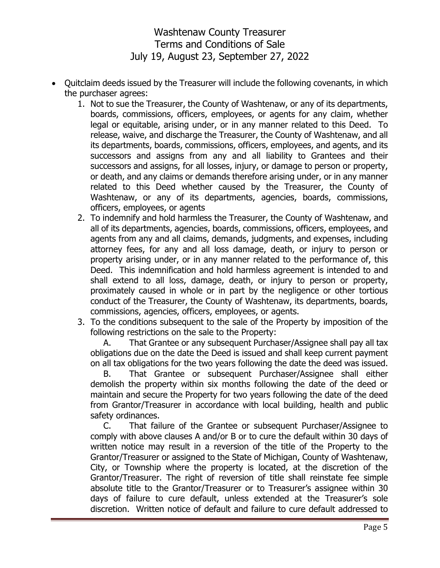- Quitclaim deeds issued by the Treasurer will include the following covenants, in which the purchaser agrees:
	- 1. Not to sue the Treasurer, the County of Washtenaw, or any of its departments, boards, commissions, officers, employees, or agents for any claim, whether legal or equitable, arising under, or in any manner related to this Deed. To release, waive, and discharge the Treasurer, the County of Washtenaw, and all its departments, boards, commissions, officers, employees, and agents, and its successors and assigns from any and all liability to Grantees and their successors and assigns, for all losses, injury, or damage to person or property, or death, and any claims or demands therefore arising under, or in any manner related to this Deed whether caused by the Treasurer, the County of Washtenaw, or any of its departments, agencies, boards, commissions, officers, employees, or agents
	- 2. To indemnify and hold harmless the Treasurer, the County of Washtenaw, and all of its departments, agencies, boards, commissions, officers, employees, and agents from any and all claims, demands, judgments, and expenses, including attorney fees, for any and all loss damage, death, or injury to person or property arising under, or in any manner related to the performance of, this Deed. This indemnification and hold harmless agreement is intended to and shall extend to all loss, damage, death, or injury to person or property, proximately caused in whole or in part by the negligence or other tortious conduct of the Treasurer, the County of Washtenaw, its departments, boards, commissions, agencies, officers, employees, or agents.
	- 3. To the conditions subsequent to the sale of the Property by imposition of the following restrictions on the sale to the Property:

A. That Grantee or any subsequent Purchaser/Assignee shall pay all tax obligations due on the date the Deed is issued and shall keep current payment on all tax obligations for the two years following the date the deed was issued.

B. That Grantee or subsequent Purchaser/Assignee shall either demolish the property within six months following the date of the deed or maintain and secure the Property for two years following the date of the deed from Grantor/Treasurer in accordance with local building, health and public safety ordinances.

C. That failure of the Grantee or subsequent Purchaser/Assignee to comply with above clauses A and/or B or to cure the default within 30 days of written notice may result in a reversion of the title of the Property to the Grantor/Treasurer or assigned to the State of Michigan, County of Washtenaw, City, or Township where the property is located, at the discretion of the Grantor/Treasurer. The right of reversion of title shall reinstate fee simple absolute title to the Grantor/Treasurer or to Treasurer's assignee within 30 days of failure to cure default, unless extended at the Treasurer's sole discretion. Written notice of default and failure to cure default addressed to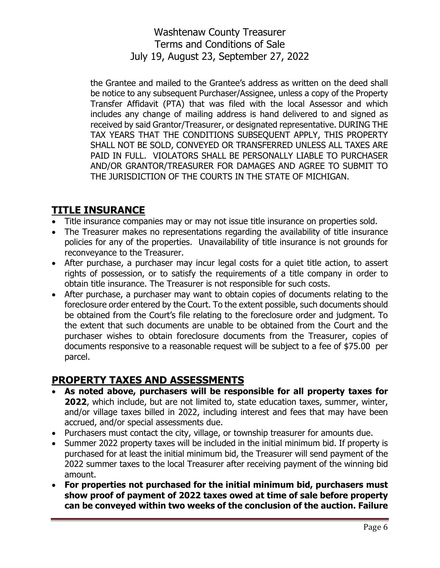the Grantee and mailed to the Grantee's address as written on the deed shall be notice to any subsequent Purchaser/Assignee, unless a copy of the Property Transfer Affidavit (PTA) that was filed with the local Assessor and which includes any change of mailing address is hand delivered to and signed as received by said Grantor/Treasurer, or designated representative. DURING THE TAX YEARS THAT THE CONDITIONS SUBSEQUENT APPLY, THIS PROPERTY SHALL NOT BE SOLD, CONVEYED OR TRANSFERRED UNLESS ALL TAXES ARE PAID IN FULL. VIOLATORS SHALL BE PERSONALLY LIABLE TO PURCHASER AND/OR GRANTOR/TREASURER FOR DAMAGES AND AGREE TO SUBMIT TO THE JURISDICTION OF THE COURTS IN THE STATE OF MICHIGAN.

## **TITLE INSURANCE**

- Title insurance companies may or may not issue title insurance on properties sold.
- The Treasurer makes no representations regarding the availability of title insurance policies for any of the properties. Unavailability of title insurance is not grounds for reconveyance to the Treasurer.
- After purchase, a purchaser may incur legal costs for a quiet title action, to assert rights of possession, or to satisfy the requirements of a title company in order to obtain title insurance. The Treasurer is not responsible for such costs.
- After purchase, a purchaser may want to obtain copies of documents relating to the foreclosure order entered by the Court. To the extent possible, such documents should be obtained from the Court's file relating to the foreclosure order and judgment. To the extent that such documents are unable to be obtained from the Court and the purchaser wishes to obtain foreclosure documents from the Treasurer, copies of documents responsive to a reasonable request will be subject to a fee of \$75.00 per parcel.

## **PROPERTY TAXES AND ASSESSMENTS**

- **As noted above, purchasers will be responsible for all property taxes for 2022**, which include, but are not limited to, state education taxes, summer, winter, and/or village taxes billed in 2022, including interest and fees that may have been accrued, and/or special assessments due.
- Purchasers must contact the city, village, or township treasurer for amounts due.
- Summer 2022 property taxes will be included in the initial minimum bid. If property is purchased for at least the initial minimum bid, the Treasurer will send payment of the 2022 summer taxes to the local Treasurer after receiving payment of the winning bid amount.
- **For properties not purchased for the initial minimum bid, purchasers must show proof of payment of 2022 taxes owed at time of sale before property can be conveyed within two weeks of the conclusion of the auction. Failure**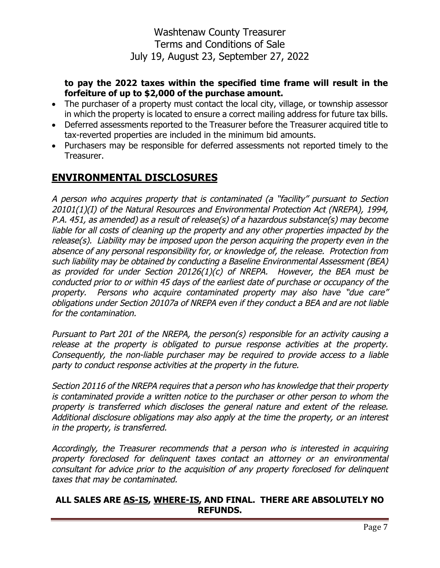#### **to pay the 2022 taxes within the specified time frame will result in the forfeiture of up to \$2,000 of the purchase amount.**

- The purchaser of a property must contact the local city, village, or township assessor in which the property is located to ensure a correct mailing address for future tax bills.
- Deferred assessments reported to the Treasurer before the Treasurer acquired title to tax-reverted properties are included in the minimum bid amounts.
- Purchasers may be responsible for deferred assessments not reported timely to the Treasurer.

#### **ENVIRONMENTAL DISCLOSURES**

A person who acquires property that is contaminated (a "facility" pursuant to Section 20101(1)(I) of the Natural Resources and Environmental Protection Act (NREPA), 1994, P.A. 451, as amended) as a result of release(s) of a hazardous substance(s) may become liable for all costs of cleaning up the property and any other properties impacted by the release(s). Liability may be imposed upon the person acquiring the property even in the absence of any personal responsibility for, or knowledge of, the release. Protection from such liability may be obtained by conducting a Baseline Environmental Assessment (BEA) as provided for under Section 20126(1)(c) of NREPA. However, the BEA must be conducted prior to or within 45 days of the earliest date of purchase or occupancy of the property. Persons who acquire contaminated property may also have "due care" obligations under Section 20107a of NREPA even if they conduct a BEA and are not liable for the contamination.

Pursuant to Part 201 of the NREPA, the person(s) responsible for an activity causing a release at the property is obligated to pursue response activities at the property. Consequently, the non-liable purchaser may be required to provide access to a liable party to conduct response activities at the property in the future.

Section 20116 of the NREPA requires that a person who has knowledge that their property is contaminated provide a written notice to the purchaser or other person to whom the property is transferred which discloses the general nature and extent of the release. Additional disclosure obligations may also apply at the time the property, or an interest in the property, is transferred.

Accordingly, the Treasurer recommends that a person who is interested in acquiring property foreclosed for delinquent taxes contact an attorney or an environmental consultant for advice prior to the acquisition of any property foreclosed for delinquent taxes that may be contaminated.

#### **ALL SALES ARE AS-IS, WHERE-IS, AND FINAL. THERE ARE ABSOLUTELY NO REFUNDS.**